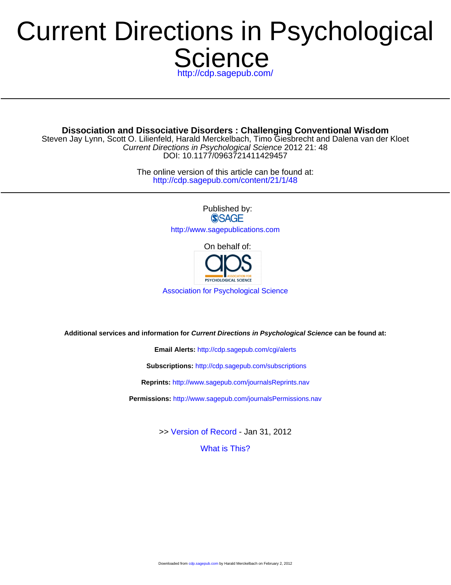# **Science** <http://cdp.sagepub.com/> Current Directions in Psychological

**Dissociation and Dissociative Disorders : Challenging Conventional Wisdom**

DOI: 10.1177/0963721411429457 Current Directions in Psychological Science 2012 21: 48 Steven Jay Lynn, Scott O. Lilienfeld, Harald Merckelbach, Timo Giesbrecht and Dalena van der Kloet

> <http://cdp.sagepub.com/content/21/1/48> The online version of this article can be found at:

> > Published by:<br>
> > SAGE <http://www.sagepublications.com>

On behalf of:



[Association for Psychological Science](http://www.psychologicalscience.org/)

**Additional services and information for Current Directions in Psychological Science can be found at:**

**Email Alerts:** <http://cdp.sagepub.com/cgi/alerts>

**Subscriptions:** <http://cdp.sagepub.com/subscriptions>

**Reprints:** <http://www.sagepub.com/journalsReprints.nav>

**Permissions:** <http://www.sagepub.com/journalsPermissions.nav>

>> [Version of Record -](http://cdp.sagepub.com/content/21/1/48.full.pdf) Jan 31, 2012

[What is This?](http://online.sagepub.com/site/sphelp/vorhelp.xhtml)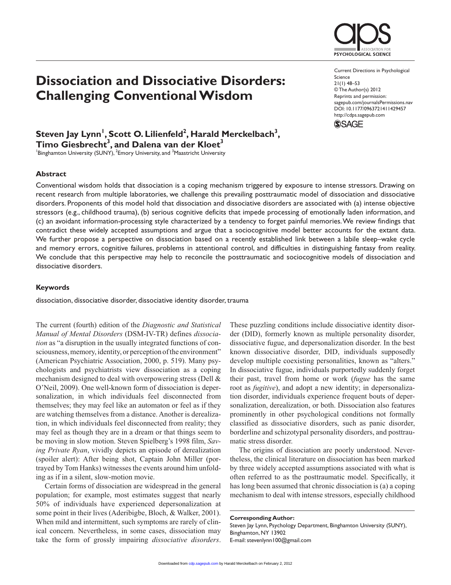

# **Dissociation and Dissociative Disorders: Challenging Conventional Wisdom**

Current Directions in Psychological Science 21(1) 48–53 © The Author(s) 2012 Reprints and permission: sagepub.com/journalsPermissions.nav DOI: 10.1177/0963721411429457 http://cdps.sagepub.com



# Steven Jay Lynn<sup>1</sup>, Scott O. Lilienfeld<sup>2</sup>, Harald Merckelbach<sup>3</sup>,

**Timo Giesbrecht3 , and Dalena van der Kloet3**

<sup>1</sup>Binghamton University (SUNY), <sup>2</sup>Emory University, and <sup>3</sup>Maastricht University

### **Abstract**

Conventional wisdom holds that dissociation is a coping mechanism triggered by exposure to intense stressors. Drawing on recent research from multiple laboratories, we challenge this prevailing posttraumatic model of dissociation and dissociative disorders. Proponents of this model hold that dissociation and dissociative disorders are associated with (a) intense objective stressors (e.g., childhood trauma), (b) serious cognitive deficits that impede processing of emotionally laden information, and (c) an avoidant information-processing style characterized by a tendency to forget painful memories. We review findings that contradict these widely accepted assumptions and argue that a sociocognitive model better accounts for the extant data. We further propose a perspective on dissociation based on a recently established link between a labile sleep–wake cycle and memory errors, cognitive failures, problems in attentional control, and difficulties in distinguishing fantasy from reality. We conclude that this perspective may help to reconcile the posttraumatic and sociocognitive models of dissociation and dissociative disorders.

## **Keywords**

dissociation, dissociative disorder, dissociative identity disorder, trauma

The current (fourth) edition of the *Diagnostic and Statistical Manual of Mental Disorders* (DSM-IV-TR) defines *dissociation* as "a disruption in the usually integrated functions of consciousness, memory, identity, or perception of the environment" (American Psychiatric Association, 2000, p. 519). Many psychologists and psychiatrists view dissociation as a coping mechanism designed to deal with overpowering stress (Dell & O'Neil, 2009). One well-known form of dissociation is depersonalization, in which individuals feel disconnected from themselves; they may feel like an automaton or feel as if they are watching themselves from a distance. Another is derealization, in which individuals feel disconnected from reality; they may feel as though they are in a dream or that things seem to be moving in slow motion. Steven Spielberg's 1998 film, *Saving Private Ryan*, vividly depicts an episode of derealization (spoiler alert): After being shot, Captain John Miller (portrayed by Tom Hanks) witnesses the events around him unfolding as if in a silent, slow-motion movie.

Certain forms of dissociation are widespread in the general population; for example, most estimates suggest that nearly 50% of individuals have experienced depersonalization at some point in their lives (Aderibigbe, Bloch, & Walker, 2001). When mild and intermittent, such symptoms are rarely of clinical concern. Nevertheless, in some cases, dissociation may take the form of grossly impairing *dissociative disorders*.

These puzzling conditions include dissociative identity disorder (DID), formerly known as multiple personality disorder, dissociative fugue, and depersonalization disorder. In the best known dissociative disorder, DID, individuals supposedly develop multiple coexisting personalities, known as "alters." In dissociative fugue, individuals purportedly suddenly forget their past, travel from home or work (*fugue* has the same root as *fugitive*), and adopt a new identity; in depersonalization disorder, individuals experience frequent bouts of depersonalization, derealization, or both. Dissociation also features prominently in other psychological conditions not formally classified as dissociative disorders, such as panic disorder, borderline and schizotypal personality disorders, and posttraumatic stress disorder.

The origins of dissociation are poorly understood. Nevertheless, the clinical literature on dissociation has been marked by three widely accepted assumptions associated with what is often referred to as the posttraumatic model. Specifically, it has long been assumed that chronic dissociation is (a) a coping mechanism to deal with intense stressors, especially childhood

**Corresponding Author:** Steven Jay Lynn, Psychology Department, Binghamton University (SUNY), Binghamton, NY 13902 E-mail: stevenlynn100@gmail.com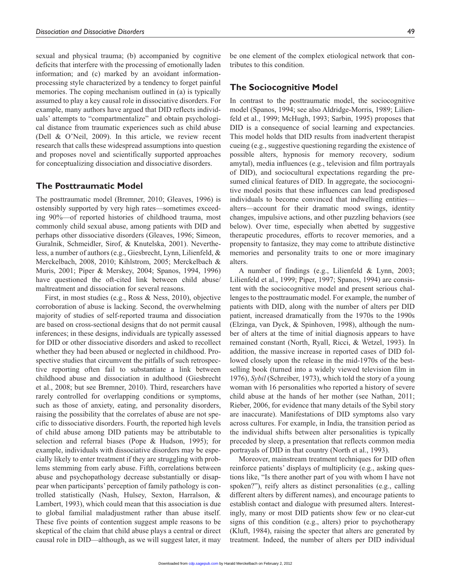sexual and physical trauma; (b) accompanied by cognitive deficits that interfere with the processing of emotionally laden information; and (c) marked by an avoidant informationprocessing style characterized by a tendency to forget painful memories. The coping mechanism outlined in (a) is typically assumed to play a key causal role in dissociative disorders. For example, many authors have argued that DID reflects individuals' attempts to "compartmentalize" and obtain psychological distance from traumatic experiences such as child abuse (Dell & O'Neil, 2009). In this article, we review recent research that calls these widespread assumptions into question and proposes novel and scientifically supported approaches for conceptualizing dissociation and dissociative disorders.

## **The Posttraumatic Model**

The posttraumatic model (Bremner, 2010; Gleaves, 1996) is ostensibly supported by very high rates—sometimes exceeding 90%—of reported histories of childhood trauma, most commonly child sexual abuse, among patients with DID and perhaps other dissociative disorders (Gleaves, 1996; Simeon, Guralnik, Schmeidler, Sirof, & Knutelska, 2001). Nevertheless, a number of authors (e.g., Giesbrecht, Lynn, Lilienfeld, & Merckelbach, 2008, 2010; Kihlstrom, 2005; Merckelbach & Muris, 2001; Piper & Merskey, 2004; Spanos, 1994, 1996) have questioned the oft-cited link between child abuse/ maltreatment and dissociation for several reasons.

First, in most studies (e.g., Ross & Ness, 2010), objective corroboration of abuse is lacking. Second, the overwhelming majority of studies of self-reported trauma and dissociation are based on cross-sectional designs that do not permit causal inferences; in these designs, individuals are typically assessed for DID or other dissociative disorders and asked to recollect whether they had been abused or neglected in childhood. Prospective studies that circumvent the pitfalls of such retrospective reporting often fail to substantiate a link between childhood abuse and dissociation in adulthood (Giesbrecht et al., 2008; but see Bremner, 2010). Third, researchers have rarely controlled for overlapping conditions or symptoms, such as those of anxiety, eating, and personality disorders, raising the possibility that the correlates of abuse are not specific to dissociative disorders. Fourth, the reported high levels of child abuse among DID patients may be attributable to selection and referral biases (Pope & Hudson, 1995); for example, individuals with dissociative disorders may be especially likely to enter treatment if they are struggling with problems stemming from early abuse. Fifth, correlations between abuse and psychopathology decrease substantially or disappear when participants' perception of family pathology is controlled statistically (Nash, Hulsey, Sexton, Harralson, & Lambert, 1993), which could mean that this association is due to global familial maladjustment rather than abuse itself. These five points of contention suggest ample reasons to be skeptical of the claim that child abuse plays a central or direct causal role in DID—although, as we will suggest later, it may be one element of the complex etiological network that contributes to this condition.

# **The Sociocognitive Model**

In contrast to the posttraumatic model, the sociocognitive model (Spanos, 1994; see also Aldridge-Morris, 1989; Lilienfeld et al., 1999; McHugh, 1993; Sarbin, 1995) proposes that DID is a consequence of social learning and expectancies. This model holds that DID results from inadvertent therapist cueing (e.g., suggestive questioning regarding the existence of possible alters, hypnosis for memory recovery, sodium amytal), media influences (e.g., television and film portrayals of DID), and sociocultural expectations regarding the presumed clinical features of DID. In aggregate, the sociocognitive model posits that these influences can lead predisposed individuals to become convinced that indwelling entities alters—account for their dramatic mood swings, identity changes, impulsive actions, and other puzzling behaviors (see below). Over time, especially when abetted by suggestive therapeutic procedures, efforts to recover memories, and a propensity to fantasize, they may come to attribute distinctive memories and personality traits to one or more imaginary alters.

A number of findings (e.g., Lilienfeld & Lynn, 2003; Lilienfeld et al., 1999; Piper, 1997; Spanos, 1994) are consistent with the sociocognitive model and present serious challenges to the posttraumatic model. For example, the number of patients with DID, along with the number of alters per DID patient, increased dramatically from the 1970s to the 1990s (Elzinga, van Dyck, & Spinhoven, 1998), although the number of alters at the time of initial diagnosis appears to have remained constant (North, Ryall, Ricci, & Wetzel, 1993). In addition, the massive increase in reported cases of DID followed closely upon the release in the mid-1970s of the bestselling book (turned into a widely viewed television film in 1976), *Sybil* (Schreiber, 1973), which told the story of a young woman with 16 personalities who reported a history of severe child abuse at the hands of her mother (see Nathan, 2011; Rieber, 2006, for evidence that many details of the Sybil story are inaccurate). Manifestations of DID symptoms also vary across cultures. For example, in India, the transition period as the individual shifts between alter personalities is typically preceded by sleep, a presentation that reflects common media portrayals of DID in that country (North et al., 1993).

Moreover, mainstream treatment techniques for DID often reinforce patients' displays of multiplicity (e.g., asking questions like, "Is there another part of you with whom I have not spoken?"), reify alters as distinct personalities (e.g., calling different alters by different names), and encourage patients to establish contact and dialogue with presumed alters. Interestingly, many or most DID patients show few or no clear-cut signs of this condition (e.g., alters) prior to psychotherapy (Kluft, 1984), raising the specter that alters are generated by treatment. Indeed, the number of alters per DID individual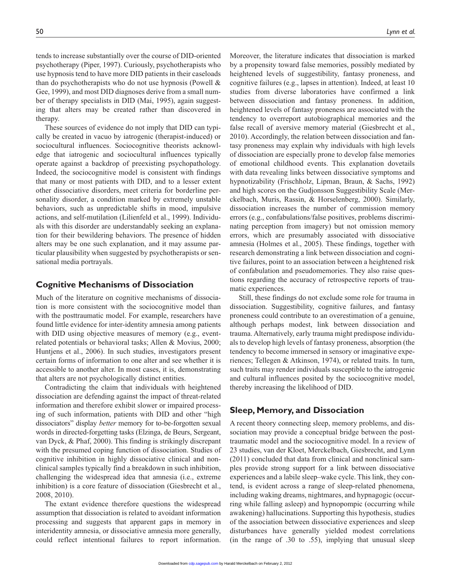tends to increase substantially over the course of DID-oriented psychotherapy (Piper, 1997). Curiously, psychotherapists who use hypnosis tend to have more DID patients in their caseloads than do psychotherapists who do not use hypnosis (Powell & Gee, 1999), and most DID diagnoses derive from a small number of therapy specialists in DID (Mai, 1995), again suggesting that alters may be created rather than discovered in therapy.

These sources of evidence do not imply that DID can typically be created in vacuo by iatrogenic (therapist-induced) or sociocultural influences. Sociocognitive theorists acknowledge that iatrogenic and sociocultural influences typically operate against a backdrop of preexisting psychopathology. Indeed, the sociocognitive model is consistent with findings that many or most patients with DID, and to a lesser extent other dissociative disorders, meet criteria for borderline personality disorder, a condition marked by extremely unstable behaviors, such as unpredictable shifts in mood, impulsive actions, and self-mutilation (Lilienfeld et al., 1999). Individuals with this disorder are understandably seeking an explanation for their bewildering behaviors. The presence of hidden alters may be one such explanation, and it may assume particular plausibility when suggested by psychotherapists or sensational media portrayals.

# **Cognitive Mechanisms of Dissociation**

Much of the literature on cognitive mechanisms of dissociation is more consistent with the sociocognitive model than with the posttraumatic model. For example, researchers have found little evidence for inter-identity amnesia among patients with DID using objective measures of memory (e.g., eventrelated potentials or behavioral tasks; Allen & Movius, 2000; Huntjens et al., 2006). In such studies, investigators present certain forms of information to one alter and see whether it is accessible to another alter. In most cases, it is, demonstrating that alters are not psychologically distinct entities.

Contradicting the claim that individuals with heightened dissociation are defending against the impact of threat-related information and therefore exhibit slower or impaired processing of such information, patients with DID and other "high dissociators" display *better* memory for to-be-forgotten sexual words in directed-forgetting tasks (Elzinga, de Beurs, Sergeant, van Dyck, & Phaf, 2000). This finding is strikingly discrepant with the presumed coping function of dissociation. Studies of cognitive inhibition in highly dissociative clinical and nonclinical samples typically find a breakdown in such inhibition, challenging the widespread idea that amnesia (i.e., extreme inhibition) is a core feature of dissociation (Giesbrecht et al., 2008, 2010).

The extant evidence therefore questions the widespread assumption that dissociation is related to avoidant information processing and suggests that apparent gaps in memory in interidentity amnesia, or dissociative amnesia more generally, could reflect intentional failures to report information.

Moreover, the literature indicates that dissociation is marked by a propensity toward false memories, possibly mediated by heightened levels of suggestibility, fantasy proneness, and cognitive failures (e.g., lapses in attention). Indeed, at least 10 studies from diverse laboratories have confirmed a link between dissociation and fantasy proneness. In addition, heightened levels of fantasy proneness are associated with the tendency to overreport autobiographical memories and the false recall of aversive memory material (Giesbrecht et al., 2010). Accordingly, the relation between dissociation and fantasy proneness may explain why individuals with high levels of dissociation are especially prone to develop false memories of emotional childhood events. This explanation dovetails with data revealing links between dissociative symptoms and hypnotizability (Frischholz, Lipman, Braun, & Sachs, 1992) and high scores on the Gudjonsson Suggestibility Scale (Merckelbach, Muris, Rassin, & Horselenberg, 2000). Similarly, dissociation increases the number of commission memory errors (e.g., confabulations/false positives, problems discriminating perception from imagery) but not omission memory errors, which are presumably associated with dissociative amnesia (Holmes et al., 2005). These findings, together with research demonstrating a link between dissociation and cognitive failures, point to an association between a heightened risk of confabulation and pseudomemories. They also raise questions regarding the accuracy of retrospective reports of traumatic experiences.

Still, these findings do not exclude some role for trauma in dissociation. Suggestibility, cognitive failures, and fantasy proneness could contribute to an overestimation of a genuine, although perhaps modest, link between dissociation and trauma. Alternatively, early trauma might predispose individuals to develop high levels of fantasy proneness, absorption (the tendency to become immersed in sensory or imaginative experiences; Tellegen & Atkinson, 1974), or related traits. In turn, such traits may render individuals susceptible to the iatrogenic and cultural influences posited by the sociocognitive model, thereby increasing the likelihood of DID.

# **Sleep, Memory, and Dissociation**

A recent theory connecting sleep, memory problems, and dissociation may provide a conceptual bridge between the posttraumatic model and the sociocognitive model. In a review of 23 studies, van der Kloet, Merckelbach, Giesbrecht, and Lynn (2011) concluded that data from clinical and nonclinical samples provide strong support for a link between dissociative experiences and a labile sleep–wake cycle. This link, they contend, is evident across a range of sleep-related phenomena, including waking dreams, nightmares, and hypnagogic (occurring while falling asleep) and hypnopompic (occurring while awakening) hallucinations. Supporting this hypothesis, studies of the association between dissociative experiences and sleep disturbances have generally yielded modest correlations (in the range of .30 to .55), implying that unusual sleep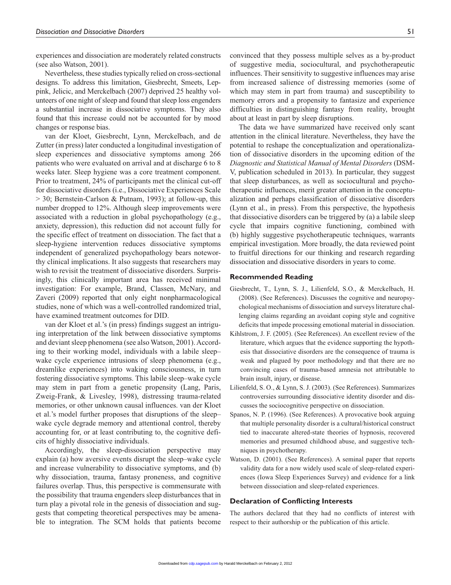experiences and dissociation are moderately related constructs (see also Watson, 2001).

Nevertheless, these studies typically relied on cross-sectional designs. To address this limitation, Giesbrecht, Smeets, Leppink, Jelicic, and Merckelbach (2007) deprived 25 healthy volunteers of one night of sleep and found that sleep loss engenders a substantial increase in dissociative symptoms. They also found that this increase could not be accounted for by mood changes or response bias.

van der Kloet, Giesbrecht, Lynn, Merckelbach, and de Zutter (in press) later conducted a longitudinal investigation of sleep experiences and dissociative symptoms among 266 patients who were evaluated on arrival and at discharge 6 to 8 weeks later. Sleep hygiene was a core treatment component. Prior to treatment, 24% of participants met the clinical cut-off for dissociative disorders (i.e., Dissociative Experiences Scale > 30; Bernstein-Carlson & Putnam, 1993); at follow-up, this number dropped to 12%. Although sleep improvements were associated with a reduction in global psychopathology (e.g., anxiety, depression), this reduction did not account fully for the specific effect of treatment on dissociation. The fact that a sleep-hygiene intervention reduces dissociative symptoms independent of generalized psychopathology bears noteworthy clinical implications. It also suggests that researchers may wish to revisit the treatment of dissociative disorders. Surprisingly, this clinically important area has received minimal investigation: For example, Brand, Classen, McNary, and Zaveri (2009) reported that only eight nonpharmacological studies, none of which was a well-controlled randomized trial, have examined treatment outcomes for DID.

van der Kloet et al.'s (in press) findings suggest an intriguing interpretation of the link between dissociative symptoms and deviant sleep phenomena (see also Watson, 2001). According to their working model, individuals with a labile sleep– wake cycle experience intrusions of sleep phenomena (e.g., dreamlike experiences) into waking consciousness, in turn fostering dissociative symptoms. This labile sleep–wake cycle may stem in part from a genetic propensity (Lang, Paris, Zweig-Frank, & Livesley, 1998), distressing trauma-related memories, or other unknown causal influences. van der Kloet et al.'s model further proposes that disruptions of the sleep– wake cycle degrade memory and attentional control, thereby accounting for, or at least contributing to, the cognitive deficits of highly dissociative individuals.

Accordingly, the sleep-dissociation perspective may explain (a) how aversive events disrupt the sleep–wake cycle and increase vulnerability to dissociative symptoms, and (b) why dissociation, trauma, fantasy proneness, and cognitive failures overlap. Thus, this perspective is commensurate with the possibility that trauma engenders sleep disturbances that in turn play a pivotal role in the genesis of dissociation and suggests that competing theoretical perspectives may be amenable to integration. The SCM holds that patients become

convinced that they possess multiple selves as a by-product of suggestive media, sociocultural, and psychotherapeutic influences. Their sensitivity to suggestive influences may arise from increased salience of distressing memories (some of which may stem in part from trauma) and susceptibility to memory errors and a propensity to fantasize and experience difficulties in distinguishing fantasy from reality, brought about at least in part by sleep disruptions.

The data we have summarized have received only scant attention in the clinical literature. Nevertheless, they have the potential to reshape the conceptualization and operationalization of dissociative disorders in the upcoming edition of the *Diagnostic and Statistical Manual of Mental Disorders* (DSM-V, publication scheduled in 2013). In particular, they suggest that sleep disturbances, as well as sociocultural and psychotherapeutic influences, merit greater attention in the conceptualization and perhaps classification of dissociative disorders (Lynn et al., in press). From this perspective, the hypothesis that dissociative disorders can be triggered by (a) a labile sleep cycle that impairs cognitive functioning, combined with (b) highly suggestive psychotherapeutic techniques, warrants empirical investigation. More broadly, the data reviewed point to fruitful directions for our thinking and research regarding dissociation and dissociative disorders in years to come.

#### **Recommended Reading**

- Giesbrecht, T., Lynn, S. J., Lilienfeld, S.O., & Merckelbach, H. (2008). (See References). Discusses the cognitive and neuropsychological mechanisms of dissociation and surveys literature challenging claims regarding an avoidant coping style and cognitive deficits that impede processing emotional material in dissociation.
- Kihlstrom, J. F. (2005). (See References). An excellent review of the literature, which argues that the evidence supporting the hypothesis that dissociative disorders are the consequence of trauma is weak and plagued by poor methodology and that there are no convincing cases of trauma-based amnesia not attributable to brain insult, injury, or disease.
- Lilienfeld, S. O., & Lynn, S. J. (2003). (See References). Summarizes controversies surrounding dissociative identity disorder and discusses the sociocognitive perspective on dissociation.
- Spanos, N. P. (1996). (See References). A provocative book arguing that multiple personality disorder is a cultural/historical construct tied to inaccurate altered-state theories of hypnosis, recovered memories and presumed childhood abuse, and suggestive techniques in psychotherapy.
- Watson, D. (2001). (See References). A seminal paper that reports validity data for a now widely used scale of sleep-related experiences (Iowa Sleep Experiences Survey) and evidence for a link between dissociation and sleep-related experiences.

#### **Declaration of Conflicting Interests**

The authors declared that they had no conflicts of interest with respect to their authorship or the publication of this article.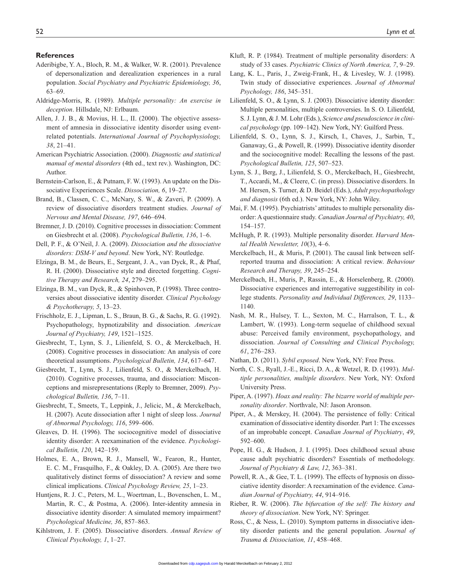## **References**

- Aderibigbe, Y. A., Bloch, R. M., & Walker, W. R. (2001). Prevalence of depersonalization and derealization experiences in a rural population. *Social Psychiatry and Psychiatric Epidemiology, 36*, 63–69.
- Aldridge-Morris, R. (1989). *Multiple personality: An exercise in deception*. Hillsdale, NJ: Erlbaum.
- Allen, J. J. B., & Movius, H. L., II. (2000). The objective assessment of amnesia in dissociative identity disorder using eventrelated potentials. *International Journal of Psychophysiology, 38*, 21–41.
- American Psychiatric Association. (2000). *Diagnostic and statistical manual of mental disorders* (4th ed., text rev.). Washington, DC: Author.
- Bernstein-Carlson, E., & Putnam, F. W. (1993). An update on the Dissociative Experiences Scale. *Dissociation, 6*, 19–27.
- Brand, B., Classen, C. C., McNary, S. W., & Zaveri, P. (2009). A review of dissociative disorders treatment studies. *Journal of Nervous and Mental Disease, 197*, 646–694.
- Bremner, J. D. (2010). Cognitive processes in dissociation: Comment on Giesbrecht et al. (2008). *Psychological Bulletin, 136*, 1–6.
- Dell, P. F., & O'Neil, J. A. (2009). *Dissociation and the dissociative disorders: DSM-V and beyond*. New York, NY: Routledge.
- Elzinga, B. M., de Beurs, E., Sergeant, J. A., van Dyck, R., & Phaf, R. H. (2000). Dissociative style and directed forgetting. *Cognitive Therapy and Research, 24*, 279–295.
- Elzinga, B. M., van Dyck, R., & Spinhoven, P. (1998). Three controversies about dissociative identity disorder. *Clinical Psychology & Psychotherapy, 5*, 13–23.
- Frischholz, E. J., Lipman, L. S., Braun, B. G., & Sachs, R. G. (1992). Psychopathology, hypnotizability and dissociation. *American Journal of Psychiatry, 149*, 1521–1525.
- Giesbrecht, T., Lynn, S. J., Lilienfeld, S. O., & Merckelbach, H. (2008). Cognitive processes in dissociation: An analysis of core theoretical assumptions. *Psychological Bulletin, 134*, 617–647.
- Giesbrecht, T., Lynn, S. J., Lilienfeld, S. O., & Merckelbach, H. (2010). Cognitive processes, trauma, and dissociation: Misconceptions and misrepresentations (Reply to Bremner, 2009). *Psychological Bulletin, 136*, 7–11.
- Giesbrecht, T., Smeets, T., Leppink, J., Jelicic, M., & Merckelbach, H. (2007). Acute dissociation after 1 night of sleep loss. *Journal of Abnormal Psychology, 116*, 599–606.
- Gleaves, D. H. (1996). The sociocognitive model of dissociative identity disorder: A reexamination of the evidence. *Psychological Bulletin, 120*, 142–159.
- Holmes, E. A., Brown, R. J., Mansell, W., Fearon, R., Hunter, E. C. M., Frasquilho, F., & Oakley, D. A. (2005). Are there two qualitatively distinct forms of dissociation? A review and some clinical implications. *Clinical Psychology Review, 25*, 1–23.
- Huntjens, R. J. C., Peters, M. L., Woertman, L., Bovenschen, L. M., Martin, R. C., & Postma, A. (2006). Inter-identity amnesia in dissociative identity disorder: A simulated memory impairment? *Psychological Medicine, 36*, 857–863.
- Kihlstrom, J. F. (2005). Dissociative disorders. *Annual Review of Clinical Psychology, 1*, 1–27.
- Kluft, R. P. (1984). Treatment of multiple personality disorders: A study of 33 cases. *Psychiatric Clinics of North America, 7*, 9–29.
- Lang, K. L., Paris, J., Zweig-Frank, H., & Livesley, W. J. (1998). Twin study of dissociative experiences. *Journal of Abnormal Psychology, 186*, 345–351.
- Lilienfeld, S. O., & Lynn, S. J. (2003). Dissociative identity disorder: Multiple personalities, multiple controversies. In S. O. Lilienfeld, S. J. Lynn, & J. M. Lohr (Eds.), *Science and pseudoscience in clinical psychology* (pp. 109–142). New York, NY: Guilford Press.
- Lilienfeld, S. O., Lynn, S. J., Kirsch, I., Chaves, J., Sarbin, T., Ganaway, G., & Powell, R. (1999). Dissociative identity disorder and the sociocognitive model: Recalling the lessons of the past. *Psychological Bulletin, 125*, 507–523.
- Lynn, S. J., Berg, J., Lilienfeld, S. O., Merckelbach, H., Giesbrecht, T., Accardi, M., & Cleere, C. (in press). Dissociative disorders. In M. Hersen, S. Turner, & D. Beidel (Eds.), *Adult psychopathology and diagnosis* (6th ed.). New York, NY: John Wiley.
- Mai, F. M. (1995). Psychiatrists' attitudes to multiple personality disorder: A questionnaire study. *Canadian Journal of Psychiatry, 40*, 154–157.
- McHugh, P. R. (1993). Multiple personality disorder. *Harvard Mental Health Newsletter, 10*(3), 4–6.
- Merckelbach, H., & Muris, P. (2001). The causal link between selfreported trauma and dissociation: A critical review. *Behaviour Research and Therapy, 39*, 245–254.
- Merckelbach, H., Muris, P., Rassin, E., & Horselenberg, R. (2000). Dissociative experiences and interrogative suggestibility in college students. *Personality and Individual Differences, 29*, 1133– 1140.
- Nash, M. R., Hulsey, T. L., Sexton, M. C., Harralson, T. L., & Lambert, W. (1993). Long-term sequelae of childhood sexual abuse: Perceived family environment, psychopathology, and dissociation. *Journal of Consulting and Clinical Psychology, 61*, 276–283.
- Nathan, D. (2011). *Sybil exposed*. New York, NY: Free Press.
- North, C. S., Ryall, J.-E., Ricci, D. A., & Wetzel, R. D. (1993). *Multiple personalities, multiple disorders*. New York, NY: Oxford University Press.
- Piper, A. (1997). *Hoax and reality: The bizarre world of multiple personality disorder*. Northvale, NJ: Jason Aronson.
- Piper, A., & Merskey, H. (2004). The persistence of folly: Critical examination of dissociative identity disorder. Part 1: The excesses of an improbable concept. *Canadian Journal of Psychiatry*, *49*, 592–600.
- Pope, H. G., & Hudson, J. I. (1995). Does childhood sexual abuse cause adult psychiatric disorders? Essentials of methodology. *Journal of Psychiatry & Law, 12*, 363–381.
- Powell, R. A., & Gee, T. L. (1999). The effects of hypnosis on dissociative identity disorder: A reexamination of the evidence. *Canadian Journal of Psychiatry, 44*, 914–916.
- Rieber, R. W. (2006). *The bifurcation of the self: The history and theory of dissociation*. New York, NY: Springer.
- Ross, C., & Ness, L. (2010). Symptom patterns in dissociative identity disorder patients and the general population. *Journal of Trauma & Dissociation, 11*, 458–468.